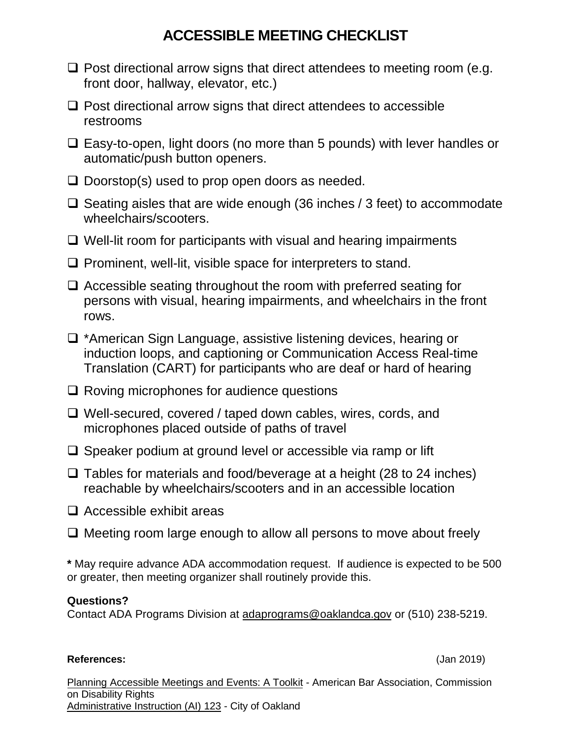# **ACCESSIBLE MEETING CHECKLIST**

- $\Box$  Post directional arrow signs that direct attendees to meeting room (e.g. front door, hallway, elevator, etc.)
- $\Box$  Post directional arrow signs that direct attendees to accessible restrooms
- $\Box$  Easy-to-open, light doors (no more than 5 pounds) with lever handles or automatic/push button openers.
- $\Box$  Doorstop(s) used to prop open doors as needed.
- $\Box$  Seating aisles that are wide enough (36 inches / 3 feet) to accommodate wheelchairs/scooters.
- $\Box$  Well-lit room for participants with visual and hearing impairments
- $\Box$  Prominent, well-lit, visible space for interpreters to stand.
- $\Box$  Accessible seating throughout the room with preferred seating for persons with visual, hearing impairments, and wheelchairs in the front rows.
- \*American Sign Language, assistive listening devices, hearing or induction loops, and captioning or Communication Access Real-time Translation (CART) for participants who are deaf or hard of hearing
- $\Box$  Roving microphones for audience questions
- Well-secured, covered / taped down cables, wires, cords, and microphones placed outside of paths of travel
- $\Box$  Speaker podium at ground level or accessible via ramp or lift
- $\Box$  Tables for materials and food/beverage at a height (28 to 24 inches) reachable by wheelchairs/scooters and in an accessible location
- $\Box$  Accessible exhibit areas
- $\Box$  Meeting room large enough to allow all persons to move about freely

**\*** May require advance ADA accommodation request. If audience is expected to be 500 or greater, then meeting organizer shall routinely provide this.

### **Questions?**

Contact ADA Programs Division a[t adaprograms@oakland](mailto:adaprograms@oaklandnet.com)ca.gov or (510) 238-5219.

#### **References:** (Jan 2019)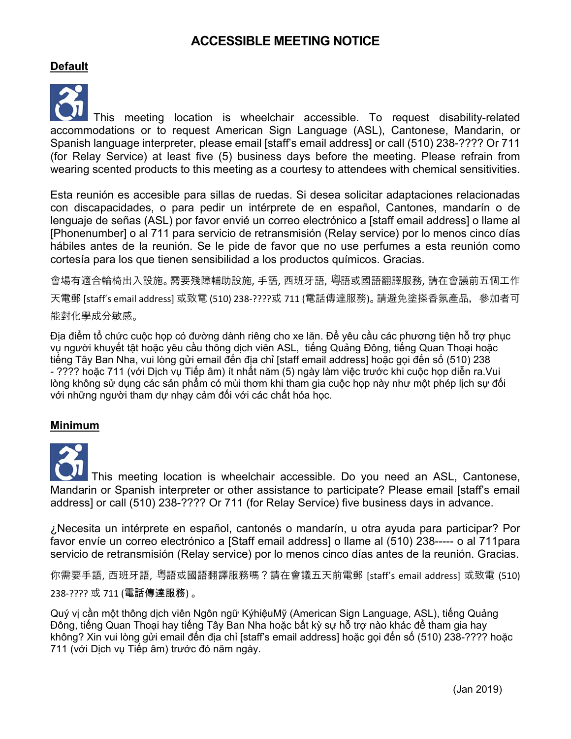## **ACCESSIBLE MEETING NOTICE**

#### **Default**



This meeting location is wheelchair accessible. To request disability-related accommodations or to request American Sign Language (ASL), Cantonese, Mandarin, or Spanish language interpreter, please email [staff's email address] or call (510) 238-???? Or 711 (for Relay Service) at least five (5) business days before the meeting. Please refrain from wearing scented products to this meeting as a courtesy to attendees with chemical sensitivities.

Esta reunión es accesible para sillas de ruedas. Si desea solicitar adaptaciones relacionadas con discapacidades, o para pedir un intérprete de en español, Cantones, mandarín o de lenguaje de señas (ASL) por favor envié un correo electrónico a [staff email address] o llame al [Phonenumber] o al 711 para servicio de retransmisión (Relay service) por lo menos cinco días hábiles antes de la reunión. Se le pide de favor que no use perfumes a esta reunión como cortesía para los que tienen sensibilidad a los productos químicos. Gracias.

會場有適合輪椅出入設施。需要殘障輔助設施, 手語, 西班牙語, 粵語或國語翻譯服務, 請在會議前五個工作 天電郵 [staff's email address] 或致電 (510) 238‐????或 711 (電話傳達服務)。 請避免塗搽香氛產品,參加者可 能對化學成分敏感。

Địa điểm tổ chức cuộc họp có đường dành riêng cho xe lăn. Để yêu cầu các phương tiện hỗ trợ phục vụ người khuyết tật hoặc yêu cầu thông dịch viên ASL, tiếng Quảng Đông, tiếng Quan Thoại hoặc tiếng Tây Ban Nha, vui lòng gửi email đến địa chỉ [staff email address] hoặc gọi đến số (510) 238 - ???? hoặc 711 (với Dịch vụ Tiếp âm) ít nhất năm (5) ngày làm việc trước khi cuộc họp diễn ra.Vui lòng không sử dụng các sản phẩm có mùi thơm khi tham gia cuộc họp này như một phép lịch sự đối với những người tham dự nhạy cảm đối với các chất hóa học.

#### **Minimum**

This meeting location is wheelchair accessible. Do you need an ASL, Cantonese, Mandarin or Spanish interpreter or other assistance to participate? Please email [staff's email address] or call (510) 238-???? Or 711 (for Relay Service) five business days in advance.

¿Necesita un intérprete en español, cantonés o mandarín, u otra ayuda para participar? Por favor envíe un correo electrónico a [Staff email address] o llame al (510) 238----- o al 711para servicio de retransmisión (Relay service) por lo menos cinco días antes de la reunión. Gracias.

你需要手語, 西班牙語, 粵語或國語翻譯服務嗎?請在會議五天前電郵 [staff's email address] 或致電 (510) 238‐???? 或 711 (電話傳達服務) 。

Quý vị cần một thông dịch viên Ngôn ngữ KýhiệuMỹ (American Sign Language, ASL), tiếng Quảng Đông, tiếng Quan Thoại hay tiếng Tây Ban Nha hoặc bất kỳ sự hỗ trợ nào khác để tham gia hay không? Xin vui lòng gửi email đến địa chỉ [staff's email address] hoặc gọi đến số (510) 238-???? hoặc 711 (với Dịch vụ Tiếp âm) trước đó năm ngày.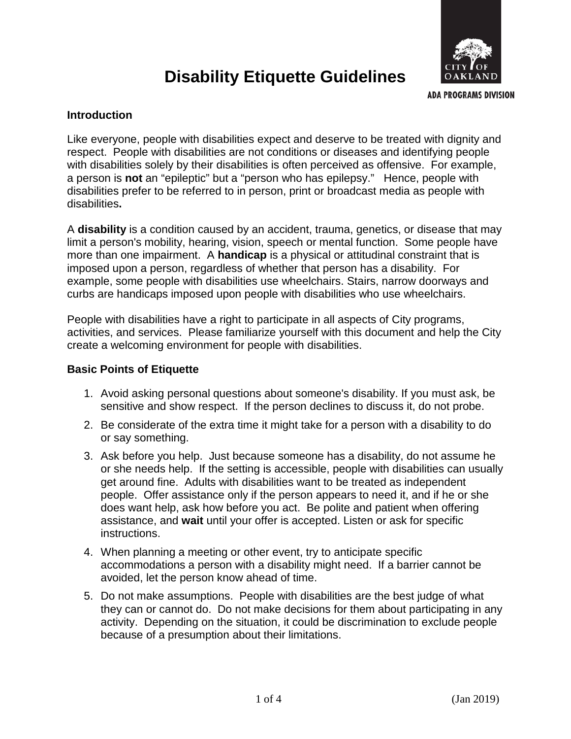

# **Disability Etiquette Guidelines**

**ADA PROGRAMS DIVISION** 

#### **Introduction**

Like everyone, people with disabilities expect and deserve to be treated with dignity and respect. People with disabilities are not conditions or diseases and identifying people with disabilities solely by their disabilities is often perceived as offensive. For example, a person is **not** an "epileptic" but a "person who has epilepsy." Hence, people with disabilities prefer to be referred to in person, print or broadcast media as people with disabilities**.** 

A **disability** is a condition caused by an accident, trauma, genetics, or disease that may limit a person's mobility, hearing, vision, speech or mental function. Some people have more than one impairment. A **handicap** is a physical or attitudinal constraint that is imposed upon a person, regardless of whether that person has a disability. For example, some people with disabilities use wheelchairs. Stairs, narrow doorways and curbs are handicaps imposed upon people with disabilities who use wheelchairs.

People with disabilities have a right to participate in all aspects of City programs, activities, and services. Please familiarize yourself with this document and help the City create a welcoming environment for people with disabilities.

#### **Basic Points of Etiquette**

- 1. Avoid asking personal questions about someone's disability. If you must ask, be sensitive and show respect. If the person declines to discuss it, do not probe.
- 2. Be considerate of the extra time it might take for a person with a disability to do or say something.
- 3. Ask before you help. Just because someone has a disability, do not assume he or she needs help. If the setting is accessible, people with disabilities can usually get around fine. Adults with disabilities want to be treated as independent people. Offer assistance only if the person appears to need it, and if he or she does want help, ask how before you act. Be polite and patient when offering assistance, and **wait** until your offer is accepted. Listen or ask for specific instructions.
- 4. When planning a meeting or other event, try to anticipate specific accommodations a person with a disability might need. If a barrier cannot be avoided, let the person know ahead of time.
- 5. Do not make assumptions. People with disabilities are the best judge of what they can or cannot do. Do not make decisions for them about participating in any activity. Depending on the situation, it could be discrimination to exclude people because of a presumption about their limitations.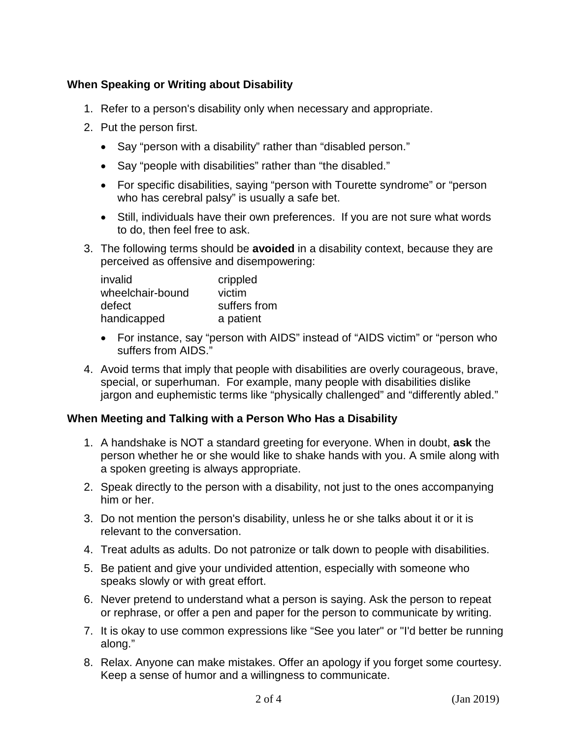#### **When Speaking or Writing about Disability**

- 1. Refer to a person's disability only when necessary and appropriate.
- 2. Put the person first.
	- Say "person with a disability" rather than "disabled person."
	- Say "people with disabilities" rather than "the disabled."
	- For specific disabilities, saying "person with Tourette syndrome" or "person who has cerebral palsy" is usually a safe bet.
	- Still, individuals have their own preferences. If you are not sure what words to do, then feel free to ask.
- 3. The following terms should be **avoided** in a disability context, because they are perceived as offensive and disempowering:

| invalid          | crippled     |
|------------------|--------------|
| wheelchair-bound | victim       |
| defect           | suffers from |
| handicapped      | a patient    |

- For instance, say "person with AIDS" instead of "AIDS victim" or "person who suffers from AIDS."
- 4. Avoid terms that imply that people with disabilities are overly courageous, brave, special, or superhuman. For example, many people with disabilities dislike jargon and euphemistic terms like "physically challenged" and "differently abled."

#### **When Meeting and Talking with a Person Who Has a Disability**

- 1. A handshake is NOT a standard greeting for everyone. When in doubt, **ask** the person whether he or she would like to shake hands with you. A smile along with a spoken greeting is always appropriate.
- 2. Speak directly to the person with a disability, not just to the ones accompanying him or her.
- 3. Do not mention the person's disability, unless he or she talks about it or it is relevant to the conversation.
- 4. Treat adults as adults. Do not patronize or talk down to people with disabilities.
- 5. Be patient and give your undivided attention, especially with someone who speaks slowly or with great effort.
- 6. Never pretend to understand what a person is saying. Ask the person to repeat or rephrase, or offer a pen and paper for the person to communicate by writing.
- 7. It is okay to use common expressions like "See you later" or "I'd better be running along."
- 8. Relax. Anyone can make mistakes. Offer an apology if you forget some courtesy. Keep a sense of humor and a willingness to communicate.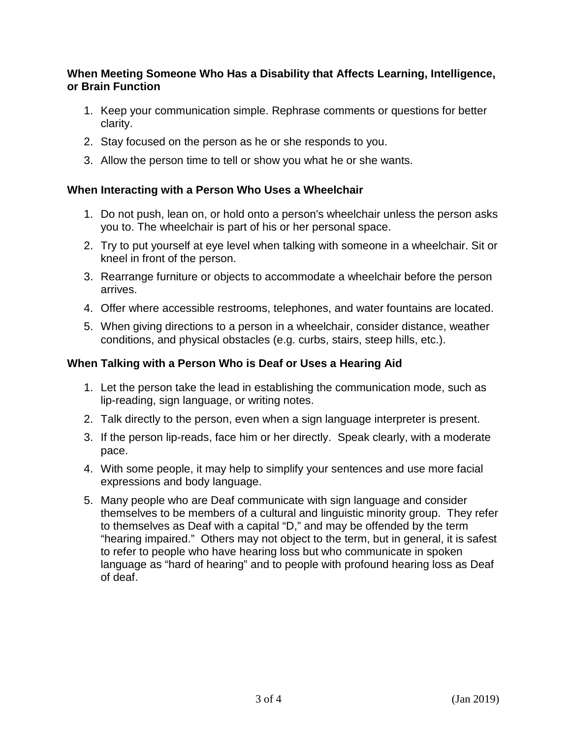#### **When Meeting Someone Who Has a Disability that Affects Learning, Intelligence, or Brain Function**

- 1. Keep your communication simple. Rephrase comments or questions for better clarity.
- 2. Stay focused on the person as he or she responds to you.
- 3. Allow the person time to tell or show you what he or she wants.

#### **When Interacting with a Person Who Uses a Wheelchair**

- 1. Do not push, lean on, or hold onto a person's wheelchair unless the person asks you to. The wheelchair is part of his or her personal space.
- 2. Try to put yourself at eye level when talking with someone in a wheelchair. Sit or kneel in front of the person.
- 3. Rearrange furniture or objects to accommodate a wheelchair before the person arrives.
- 4. Offer where accessible restrooms, telephones, and water fountains are located.
- 5. When giving directions to a person in a wheelchair, consider distance, weather conditions, and physical obstacles (e.g. curbs, stairs, steep hills, etc.).

#### **When Talking with a Person Who is Deaf or Uses a Hearing Aid**

- 1. Let the person take the lead in establishing the communication mode, such as lip-reading, sign language, or writing notes.
- 2. Talk directly to the person, even when a sign language interpreter is present.
- 3. If the person lip-reads, face him or her directly. Speak clearly, with a moderate pace.
- 4. With some people, it may help to simplify your sentences and use more facial expressions and body language.
- 5. Many people who are Deaf communicate with sign language and consider themselves to be members of a cultural and linguistic minority group. They refer to themselves as Deaf with a capital "D," and may be offended by the term "hearing impaired." Others may not object to the term, but in general, it is safest to refer to people who have hearing loss but who communicate in spoken language as "hard of hearing" and to people with profound hearing loss as Deaf of deaf.